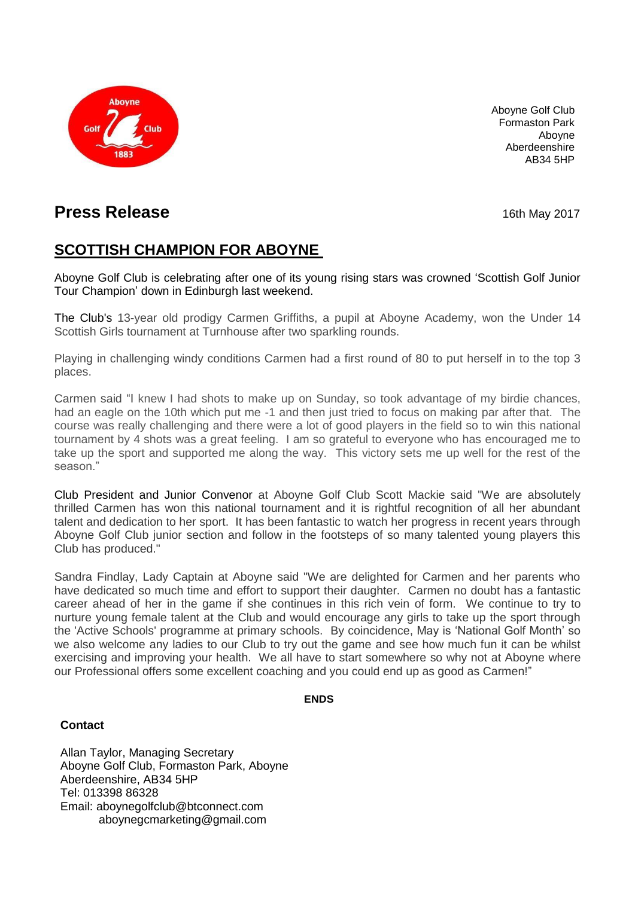

Aboyne Golf Club Formaston Park Aboyne Aberdeenshire AB34 5HP

# **Press Release** 16th May 2017

## **SCOTTISH CHAMPION FOR ABOYNE**

Aboyne Golf Club is celebrating after one of its young rising stars was crowned 'Scottish Golf Junior Tour Champion' down in Edinburgh last weekend.

The Club's 13-year old prodigy Carmen Griffiths, a pupil at Aboyne Academy, won the Under 14 Scottish Girls tournament at Turnhouse after two sparkling rounds.

Playing in challenging windy conditions Carmen had a first round of 80 to put herself in to the top 3 places.

Carmen said "I knew I had shots to make up on Sunday, so took advantage of my birdie chances, had an eagle on the 10th which put me -1 and then just tried to focus on making par after that. The course was really challenging and there were a lot of good players in the field so to win this national tournament by 4 shots was a great feeling. I am so grateful to everyone who has encouraged me to take up the sport and supported me along the way. This victory sets me up well for the rest of the season."

Club President and Junior Convenor at Aboyne Golf Club Scott Mackie said "We are absolutely thrilled Carmen has won this national tournament and it is rightful recognition of all her abundant talent and dedication to her sport. It has been fantastic to watch her progress in recent years through Aboyne Golf Club junior section and follow in the footsteps of so many talented young players this Club has produced."

Sandra Findlay, Lady Captain at Aboyne said "We are delighted for Carmen and her parents who have dedicated so much time and effort to support their daughter. Carmen no doubt has a fantastic career ahead of her in the game if she continues in this rich vein of form. We continue to try to nurture young female talent at the Club and would encourage any girls to take up the sport through the 'Active Schools' programme at primary schools. By coincidence, May is 'National Golf Month' so we also welcome any ladies to our Club to try out the game and see how much fun it can be whilst exercising and improving your health. We all have to start somewhere so why not at Aboyne where our Professional offers some excellent coaching and you could end up as good as Carmen!"

#### **ENDS**

### **Contact**

Allan Taylor, Managing Secretary Aboyne Golf Club, Formaston Park, Aboyne Aberdeenshire, AB34 5HP Tel: 013398 86328 Email: [aboynegolfclub@btconnect.com](mailto:aboynegolfclub@btconnect.com) [aboynegcmarketing@gmail.com](mailto:aboynegcmarketing@gmail.com)